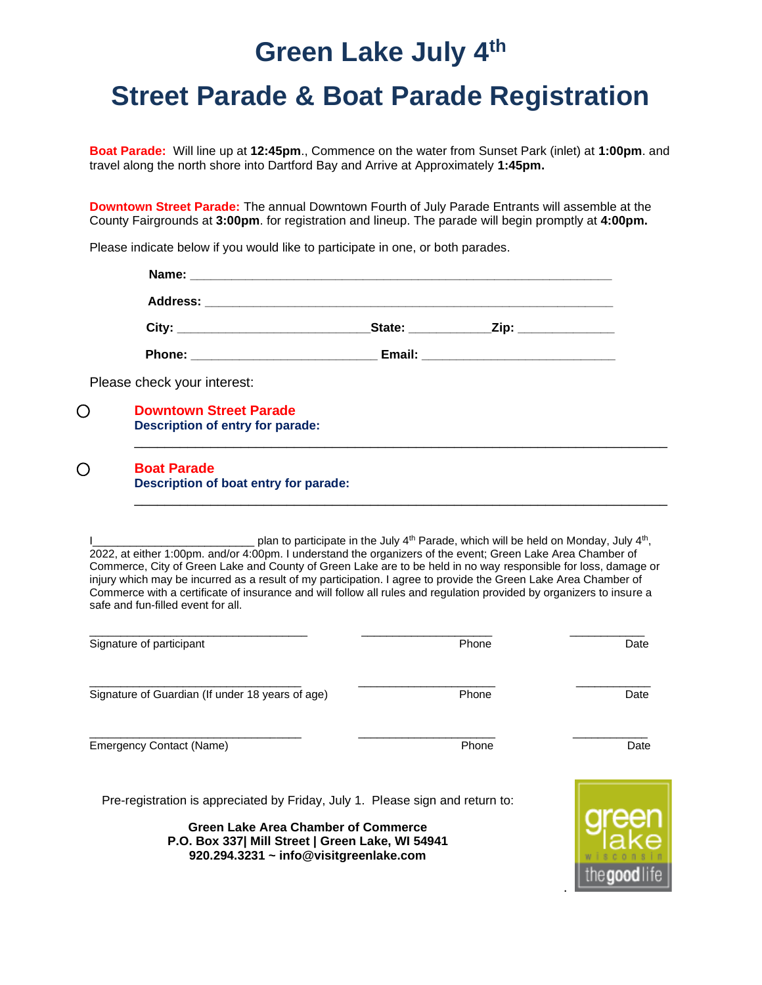## **Green Lake July 4th**

## **Street Parade & Boat Parade Registration**

**Boat Parade:** Will line up at **12:45pm**., Commence on the water from Sunset Park (inlet) at **1:00pm**. and travel along the north shore into Dartford Bay and Arrive at Approximately **1:45pm.**

**Downtown Street Parade:** The annual Downtown Fourth of July Parade Entrants will assemble at the County Fairgrounds at **3:00pm**. for registration and lineup. The parade will begin promptly at **4:00pm.**

Please indicate below if you would like to participate in one, or both parades.

|                                                                          |  | _State: ______________Zip: _______________ |  |
|--------------------------------------------------------------------------|--|--------------------------------------------|--|
|                                                                          |  |                                            |  |
| Please check your interest:                                              |  |                                            |  |
| <b>Downtown Street Parade</b><br><b>Description of entry for parade:</b> |  |                                            |  |
| <b>Boat Parade</b><br>Description of boat entry for parade:              |  |                                            |  |

I\_\_\_\_\_\_\_\_\_\_\_\_\_\_\_\_\_\_\_\_\_\_\_\_\_\_ plan to participate in the July 4th Parade, which will be held on Monday, July 4th , 2022, at either 1:00pm. and/or 4:00pm. I understand the organizers of the event; Green Lake Area Chamber of Commerce, City of Green Lake and County of Green Lake are to be held in no way responsible for loss, damage or injury which may be incurred as a result of my participation. I agree to provide the Green Lake Area Chamber of Commerce with a certificate of insurance and will follow all rules and regulation provided by organizers to insure a safe and fun-filled event for all.

| Signature of participant                                                                                                                                                                                                 | Phone | Date |
|--------------------------------------------------------------------------------------------------------------------------------------------------------------------------------------------------------------------------|-------|------|
| Signature of Guardian (If under 18 years of age)                                                                                                                                                                         | Phone | Date |
| Emergency Contact (Name)                                                                                                                                                                                                 | Phone | Date |
| Pre-registration is appreciated by Friday, July 1. Please sign and return to:<br><b>Green Lake Area Chamber of Commerce</b><br>P.O. Box 337 Mill Street   Green Lake, WI 54941<br>920.294.3231 ~ info@visitgreenlake.com |       |      |

.